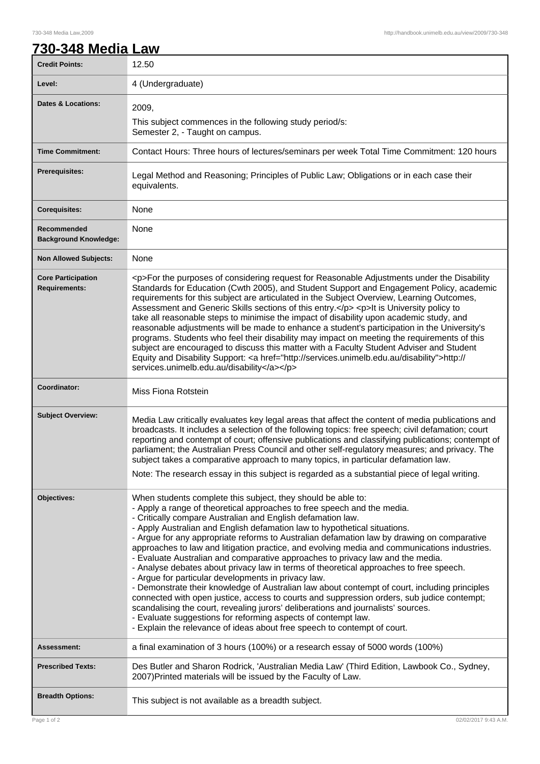## **730-348 Media Law**

| <b>Credit Points:</b>                             | 12.50                                                                                                                                                                                                                                                                                                                                                                                                                                                                                                                                                                                                                                                                                                                                                                                                                                                                                                                                                                                                                                                                                                                                                 |
|---------------------------------------------------|-------------------------------------------------------------------------------------------------------------------------------------------------------------------------------------------------------------------------------------------------------------------------------------------------------------------------------------------------------------------------------------------------------------------------------------------------------------------------------------------------------------------------------------------------------------------------------------------------------------------------------------------------------------------------------------------------------------------------------------------------------------------------------------------------------------------------------------------------------------------------------------------------------------------------------------------------------------------------------------------------------------------------------------------------------------------------------------------------------------------------------------------------------|
| Level:                                            | 4 (Undergraduate)                                                                                                                                                                                                                                                                                                                                                                                                                                                                                                                                                                                                                                                                                                                                                                                                                                                                                                                                                                                                                                                                                                                                     |
| <b>Dates &amp; Locations:</b>                     | 2009,<br>This subject commences in the following study period/s:<br>Semester 2, - Taught on campus.                                                                                                                                                                                                                                                                                                                                                                                                                                                                                                                                                                                                                                                                                                                                                                                                                                                                                                                                                                                                                                                   |
| <b>Time Commitment:</b>                           | Contact Hours: Three hours of lectures/seminars per week Total Time Commitment: 120 hours                                                                                                                                                                                                                                                                                                                                                                                                                                                                                                                                                                                                                                                                                                                                                                                                                                                                                                                                                                                                                                                             |
| <b>Prerequisites:</b>                             | Legal Method and Reasoning; Principles of Public Law; Obligations or in each case their<br>equivalents.                                                                                                                                                                                                                                                                                                                                                                                                                                                                                                                                                                                                                                                                                                                                                                                                                                                                                                                                                                                                                                               |
| <b>Corequisites:</b>                              | None                                                                                                                                                                                                                                                                                                                                                                                                                                                                                                                                                                                                                                                                                                                                                                                                                                                                                                                                                                                                                                                                                                                                                  |
| Recommended<br><b>Background Knowledge:</b>       | None                                                                                                                                                                                                                                                                                                                                                                                                                                                                                                                                                                                                                                                                                                                                                                                                                                                                                                                                                                                                                                                                                                                                                  |
| <b>Non Allowed Subjects:</b>                      | None                                                                                                                                                                                                                                                                                                                                                                                                                                                                                                                                                                                                                                                                                                                                                                                                                                                                                                                                                                                                                                                                                                                                                  |
| <b>Core Participation</b><br><b>Requirements:</b> | <p>For the purposes of considering request for Reasonable Adjustments under the Disability<br/>Standards for Education (Cwth 2005), and Student Support and Engagement Policy, academic<br/>requirements for this subject are articulated in the Subject Overview, Learning Outcomes,<br/>Assessment and Generic Skills sections of this entry.</p> <p>lt is University policy to<br/>take all reasonable steps to minimise the impact of disability upon academic study, and<br/>reasonable adjustments will be made to enhance a student's participation in the University's<br/>programs. Students who feel their disability may impact on meeting the requirements of this<br/>subject are encouraged to discuss this matter with a Faculty Student Adviser and Student<br/>Equity and Disability Support: &lt; a href="http://services.unimelb.edu.au/disability"&gt;http://<br/>services.unimelb.edu.au/disability</p>                                                                                                                                                                                                                          |
| Coordinator:                                      | Miss Fiona Rotstein                                                                                                                                                                                                                                                                                                                                                                                                                                                                                                                                                                                                                                                                                                                                                                                                                                                                                                                                                                                                                                                                                                                                   |
| <b>Subject Overview:</b>                          | Media Law critically evaluates key legal areas that affect the content of media publications and<br>broadcasts. It includes a selection of the following topics: free speech; civil defamation; court<br>reporting and contempt of court; offensive publications and classifying publications; contempt of<br>parliament; the Australian Press Council and other self-regulatory measures; and privacy. The<br>subject takes a comparative approach to many topics, in particular defamation law.<br>Note: The research essay in this subject is regarded as a substantial piece of legal writing.                                                                                                                                                                                                                                                                                                                                                                                                                                                                                                                                                    |
| Objectives:                                       | When students complete this subject, they should be able to:<br>- Apply a range of theoretical approaches to free speech and the media.<br>- Critically compare Australian and English defamation law.<br>- Apply Australian and English defamation law to hypothetical situations.<br>- Argue for any appropriate reforms to Australian defamation law by drawing on comparative<br>approaches to law and litigation practice, and evolving media and communications industries.<br>- Evaluate Australian and comparative approaches to privacy law and the media.<br>- Analyse debates about privacy law in terms of theoretical approaches to free speech.<br>- Argue for particular developments in privacy law.<br>- Demonstrate their knowledge of Australian law about contempt of court, including principles<br>connected with open justice, access to courts and suppression orders, sub judice contempt;<br>scandalising the court, revealing jurors' deliberations and journalists' sources.<br>- Evaluate suggestions for reforming aspects of contempt law.<br>- Explain the relevance of ideas about free speech to contempt of court. |
| Assessment:                                       | a final examination of 3 hours (100%) or a research essay of 5000 words (100%)                                                                                                                                                                                                                                                                                                                                                                                                                                                                                                                                                                                                                                                                                                                                                                                                                                                                                                                                                                                                                                                                        |
| <b>Prescribed Texts:</b>                          | Des Butler and Sharon Rodrick, 'Australian Media Law' (Third Edition, Lawbook Co., Sydney,<br>2007) Printed materials will be issued by the Faculty of Law.                                                                                                                                                                                                                                                                                                                                                                                                                                                                                                                                                                                                                                                                                                                                                                                                                                                                                                                                                                                           |
| <b>Breadth Options:</b>                           | This subject is not available as a breadth subject.                                                                                                                                                                                                                                                                                                                                                                                                                                                                                                                                                                                                                                                                                                                                                                                                                                                                                                                                                                                                                                                                                                   |
| Page 1 of 2                                       | 02/02/2017 9:43 A.M.                                                                                                                                                                                                                                                                                                                                                                                                                                                                                                                                                                                                                                                                                                                                                                                                                                                                                                                                                                                                                                                                                                                                  |